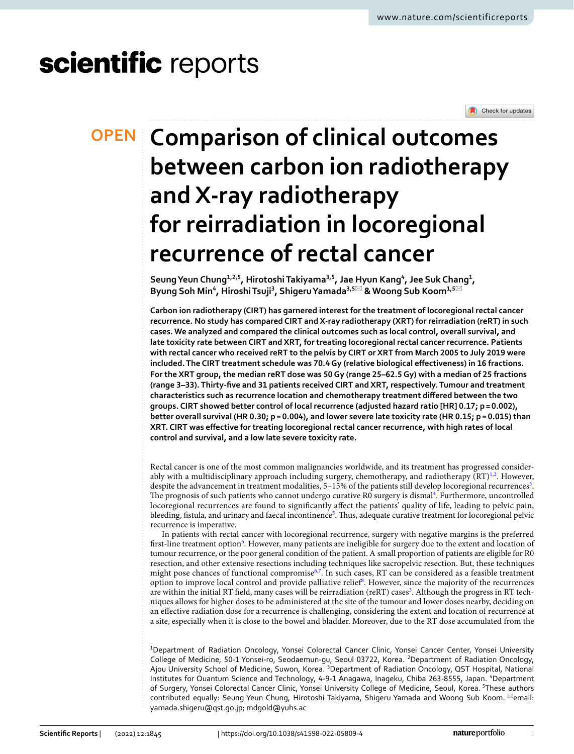# scientific reports



# **Comparison of clinical outcomes OPEN between carbon ion radiotherapy and X‑ray radiotherapy for reirradiation in locoregional recurrence of rectal cancer**

**SeungYeun Chung1,2,5, HirotoshiTakiyama3,5, Jae Hyun Kang4 , Jee Suk Chang1 ,**   $\mathsf{Byung}$  Soh Min $^4$ , Hiroshi Tsuji $^3$ , Shigeru Yamada $^{3,5\boxtimes}$  & Woong Sub Koom $^{1,5\boxtimes}$ 

**Carbon ion radiotherapy (CIRT) has garnered interest for the treatment of locoregional rectal cancer recurrence. No study has compared CIRT and X-ray radiotherapy (XRT) for reirradiation (reRT) in such cases. We analyzed and compared the clinical outcomes such as local control, overall survival, and late toxicity rate between CIRT and XRT, for treating locoregional rectal cancer recurrence. Patients with rectal cancer who received reRT to the pelvis by CIRT or XRT from March 2005 to July 2019 were included. The CIRT treatment schedule was 70.4Gy (relative biological efectiveness) in 16 fractions. For the XRT group, the median reRT dose was 50Gy (range 25–62.5Gy) with a median of 25 fractions (range 3–33). Thirty-fve and 31 patients received CIRT and XRT, respectively. Tumour and treatment characteristics such as recurrence location and chemotherapy treatment difered between the two groups. CIRT showed better control of local recurrence (adjusted hazard ratio [HR] 0.17; p= 0.002), better overall survival (HR 0.30; p= 0.004), and lower severe late toxicity rate (HR 0.15; p= 0.015) than XRT. CIRT was efective for treating locoregional rectal cancer recurrence, with high rates of local control and survival, and a low late severe toxicity rate.**

Rectal cancer is one of the most common malignancies worldwide, and its treatment has progressed consider-ably with a multidisciplinary approach including surgery, chemotherapy, and radiotherapy (RT)<sup>1[,2](#page-6-1)</sup>. However, despite the advancement in treatment modalities, 5-15% of the patients still develop locoregional recurrences<sup>3</sup>. The prognosis of such patients who cannot undergo curative R0 surgery is dismal<sup>4</sup>. Furthermore, uncontrolled locoregional recurrences are found to signifcantly afect the patients' quality of life, leading to pelvic pain, bleeding, fistula, and urinary and faecal incontinence<sup>[5](#page-6-4)</sup>. Thus, adequate curative treatment for locoregional pelvic recurrence is imperative.

In patients with rectal cancer with locoregional recurrence, surgery with negative margins is the preferred first-line treatment option<sup>6</sup>. However, many patients are ineligible for surgery due to the extent and location of tumour recurrence, or the poor general condition of the patient. A small proportion of patients are eligible for R0 resection, and other extensive resections including techniques like sacropelvic resection. But, these techniques might pose chances of functional compromise<sup>6[,7](#page-6-6)</sup>. In such cases, RT can be considered as a feasible treatment option to improve local control and provide palliative relief<sup>[8](#page-6-7)</sup>. However, since the majority of the recurrences are within the initial RT field, many cases will be reirradiation (reRT) cases $^3$ . Although the progress in RT techniques allows for higher doses to be administered at the site of the tumour and lower doses nearby, deciding on an efective radiation dose for a recurrence is challenging, considering the extent and location of recurrence at a site, especially when it is close to the bowel and bladder. Moreover, due to the RT dose accumulated from the

<sup>1</sup>Department of Radiation Oncology, Yonsei Colorectal Cancer Clinic, Yonsei Cancer Center, Yonsei University College of Medicine, 50-1 Yonsei-ro, Seodaemun-gu, Seoul 03722, Korea. <sup>2</sup>Department of Radiation Oncology, Ajou University School of Medicine, Suwon, Korea. <sup>3</sup>Department of Radiation Oncology, QST Hospital, National Institutes for Quantum Science and Technology, 4‑9‑1 Anagawa, Inageku, Chiba 263‑8555, Japan. 4 Department of Surgery, Yonsei Colorectal Cancer Clinic, Yonsei University College of Medicine, Seoul, Korea. 5These authors contributed equally: Seung Yeun Chung, Hirotoshi Takiyama, Shigeru Yamada and Woong Sub Koom. <sup>[26]</sup>email: yamada.shigeru@qst.go.jp; mdgold@yuhs.ac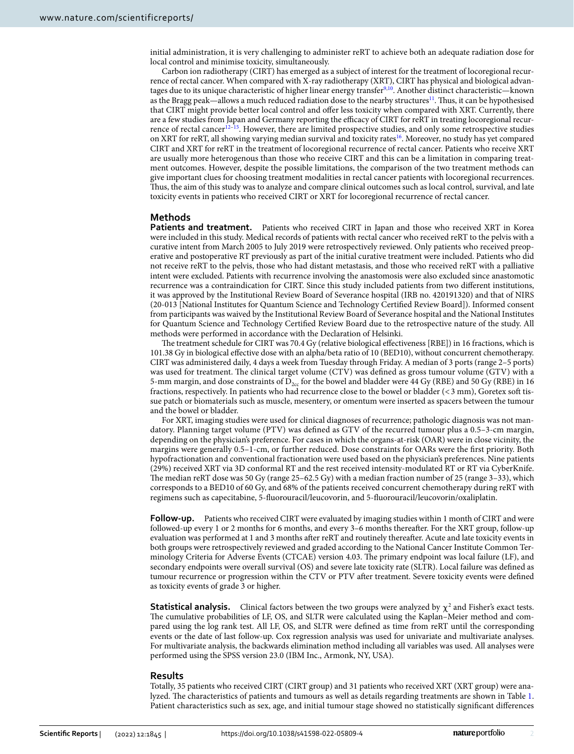initial administration, it is very challenging to administer reRT to achieve both an adequate radiation dose for local control and minimise toxicity, simultaneously.

Carbon ion radiotherapy (CIRT) has emerged as a subject of interest for the treatment of locoregional recurrence of rectal cancer. When compared with X-ray radiotherapy (XRT), CIRT has physical and biological advantages due to its unique characteristic of higher linear energy transfer<sup>9,10</sup>. Another distinct characteristic—known as the Bragg peak—allows a much reduced radiation dose to the nearby structures<sup>11</sup>. Thus, it can be hypothesised that CIRT might provide better local control and ofer less toxicity when compared with XRT. Currently, there are a few studies from Japan and Germany reporting the efficacy of CIRT for reRT in treating locoregional recur-rence of rectal cancer<sup>[12](#page-6-11)–15</sup>. However, there are limited prospective studies, and only some retrospective studies on XRT for reRT, all showing varying median survival and toxicity rates<sup>16</sup>. Moreover, no study has yet compared CIRT and XRT for reRT in the treatment of locoregional recurrence of rectal cancer. Patients who receive XRT are usually more heterogenous than those who receive CIRT and this can be a limitation in comparing treatment outcomes. However, despite the possible limitations, the comparison of the two treatment methods can give important clues for choosing treatment modalities in rectal cancer patients with locoregional recurrences. Thus, the aim of this study was to analyze and compare clinical outcomes such as local control, survival, and late toxicity events in patients who received CIRT or XRT for locoregional recurrence of rectal cancer.

### **Methods**

**Patients and treatment.** Patients who received CIRT in Japan and those who received XRT in Korea were included in this study. Medical records of patients with rectal cancer who received reRT to the pelvis with a curative intent from March 2005 to July 2019 were retrospectively reviewed. Only patients who received preoperative and postoperative RT previously as part of the initial curative treatment were included. Patients who did not receive reRT to the pelvis, those who had distant metastasis, and those who received reRT with a palliative intent were excluded. Patients with recurrence involving the anastomosis were also excluded since anastomotic recurrence was a contraindication for CIRT. Since this study included patients from two diferent institutions, it was approved by the Institutional Review Board of Severance hospital (IRB no. 420191320) and that of NIRS (20-013 [National Institutes for Quantum Science and Technology Certifed Review Board]). Informed consent from participants was waived by the Institutional Review Board of Severance hospital and the National Institutes for Quantum Science and Technology Certifed Review Board due to the retrospective nature of the study. All methods were performed in accordance with the Declaration of Helsinki.

The treatment schedule for CIRT was 70.4 Gy (relative biological effectiveness [RBE]) in 16 fractions, which is 101.38 Gy in biological efective dose with an alpha/beta ratio of 10 (BED10), without concurrent chemotherapy. CIRT was administered daily, 4 days a week from Tuesday through Friday. A median of 3 ports (range 2–5 ports) was used for treatment. The clinical target volume (CTV) was defined as gross tumour volume (GTV) with a 5-mm margin, and dose constraints of  $\overline{D}_{2cc}$  for the bowel and bladder were 44 Gy (RBE) and 50 Gy (RBE) in 16 fractions, respectively. In patients who had recurrence close to the bowel or bladder (<3 mm), Goretex sof tissue patch or biomaterials such as muscle, mesentery, or omentum were inserted as spacers between the tumour and the bowel or bladder.

For XRT, imaging studies were used for clinical diagnoses of recurrence; pathologic diagnosis was not mandatory. Planning target volume (PTV) was defned as GTV of the recurred tumour plus a 0.5–3-cm margin, depending on the physician's preference. For cases in which the organs-at-risk (OAR) were in close vicinity, the margins were generally 0.5–1-cm, or further reduced. Dose constraints for OARs were the frst priority. Both hypofractionation and conventional fractionation were used based on the physician's preferences. Nine patients (29%) received XRT via 3D conformal RT and the rest received intensity-modulated RT or RT via CyberKnife. The median reRT dose was 50 Gy (range 25-62.5 Gy) with a median fraction number of 25 (range 3-33), which corresponds to a BED10 of 60 Gy, and 68% of the patients received concurrent chemotherapy during reRT with regimens such as capecitabine, 5-fuorouracil/leucovorin, and 5-fuorouracil/leucovorin/oxaliplatin.

**Follow-up.** Patients who received CIRT were evaluated by imaging studies within 1 month of CIRT and were followed-up every 1 or 2 months for 6 months, and every 3–6 months thereafer. For the XRT group, follow-up evaluation was performed at 1 and 3 months afer reRT and routinely thereafer. Acute and late toxicity events in both groups were retrospectively reviewed and graded according to the National Cancer Institute Common Terminology Criteria for Adverse Events (CTCAE) version 4.03. Te primary endpoint was local failure (LF), and secondary endpoints were overall survival (OS) and severe late toxicity rate (SLTR). Local failure was defned as tumour recurrence or progression within the CTV or PTV afer treatment. Severe toxicity events were defned as toxicity events of grade 3 or higher.

**Statistical analysis.** Clinical factors between the two groups were analyzed by  $\chi^2$  and Fisher's exact tests. The cumulative probabilities of LF, OS, and SLTR were calculated using the Kaplan–Meier method and compared using the log rank test. All LF, OS, and SLTR were defned as time from reRT until the corresponding events or the date of last follow-up. Cox regression analysis was used for univariate and multivariate analyses. For multivariate analysis, the backwards elimination method including all variables was used. All analyses were performed using the SPSS version 23.0 (IBM Inc., Armonk, NY, USA).

### **Results**

Totally, 35 patients who received CIRT (CIRT group) and 31 patients who received XRT (XRT group) were ana-lyzed. The characteristics of patients and tumours as well as details regarding treatments are shown in Table [1](#page-3-0). Patient characteristics such as sex, age, and initial tumour stage showed no statistically signifcant diferences

2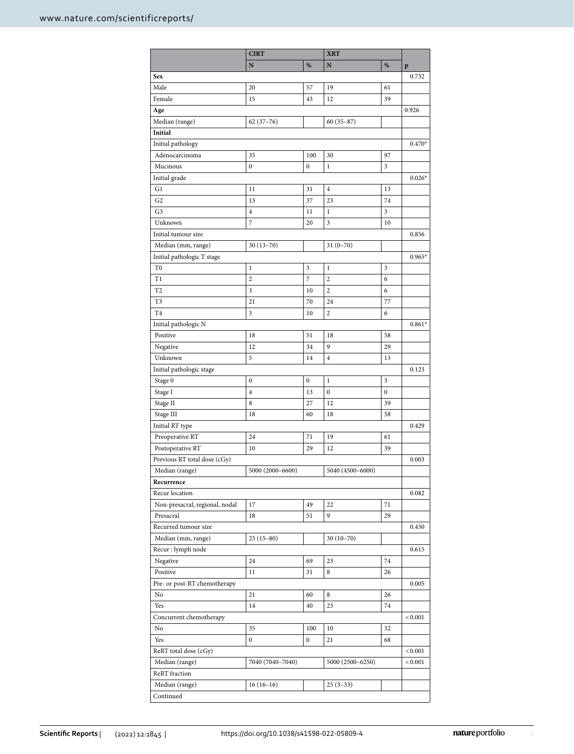|                                | <b>CIRT</b>      |                  | <b>XRT</b>       |    |          |
|--------------------------------|------------------|------------------|------------------|----|----------|
|                                | N                | %                | N                | %  | p        |
| <b>Sex</b>                     |                  |                  |                  |    | 0.732    |
| Male                           | 20               | 57               | 19               | 61 |          |
| Female                         | 15               | 43               | 12               | 39 |          |
| Age                            |                  |                  |                  |    | 0.926    |
| Median (range)                 | $62(37-76)$      |                  | $60(35-87)$      |    |          |
| Initial                        |                  |                  |                  |    |          |
| Initial pathology              |                  |                  |                  |    | $0.470*$ |
| Adenocarcinoma                 | 35               | 100              | 30               | 97 |          |
| Mucinous                       | $\bf{0}$         | $\mathbf{0}$     | $\mathbf{1}$     | 3  |          |
| Initial grade                  |                  |                  |                  |    | $0.026*$ |
| G1                             | 11               | 31               | $\overline{4}$   | 13 |          |
| G <sub>2</sub>                 | 13               | 37               | 23               | 74 |          |
|                                |                  |                  |                  |    |          |
| G <sub>3</sub>                 | $\overline{4}$   | 11               | $\mathbf{1}$     | 3  |          |
| Unknown                        | 7                | 20               | 3                | 10 |          |
| Initial tumour size            |                  |                  |                  |    | 0.856    |
| Median (mm, range)             | $30(13-70)$      |                  | $31(0-70)$       |    |          |
| Initial pathologic T stage     |                  |                  |                  |    | $0.965*$ |
| T <sub>0</sub>                 | $\mathbf{1}$     | 3                | $\mathbf{1}$     | 3  |          |
| T1                             | 2                | $\overline{7}$   | $\overline{2}$   | 6  |          |
| T2                             | 3                | 10               | $\overline{2}$   | 6  |          |
| T3                             | 21               | 70               | 24               | 77 |          |
| T <sub>4</sub>                 | 3                | 10               | $\overline{2}$   | 6  |          |
| Initial pathologic N           |                  |                  |                  |    | $0.861*$ |
| Positive                       | 18               | 51               | 18               | 58 |          |
| Negative                       | 12               | 34               | 9                | 29 |          |
| Unknown                        | 5                | 14               | $\overline{4}$   | 13 |          |
| Initial pathologic stage       |                  |                  |                  |    | 0.123    |
| Stage 0                        | $\boldsymbol{0}$ | $\boldsymbol{0}$ | $\mathbf{1}$     | 3  |          |
| Stage I                        | $\overline{4}$   | 13               | $\boldsymbol{0}$ | 0  |          |
| Stage II                       | 8                | 27               | 12               | 39 |          |
| Stage III                      | 18               | 60               | 18               | 58 |          |
| Initial RT type                |                  |                  |                  |    | 0.429    |
| Preoperative RT                | 24               | 71               | 19               | 61 |          |
| Postoperative RT               | 10               | 29               | 12               | 39 |          |
| Previous RT total dose (cGy)   |                  |                  |                  |    | 0.003    |
| Median (range)                 | 5000 (2000-6600) |                  | 5040 (4500-6000) |    |          |
| Recurrence                     |                  |                  |                  |    |          |
| Recur location                 |                  |                  |                  |    | 0.082    |
| Non-presacral, regional, nodal | 17               | 49               | 22               | 71 |          |
| Presacral                      | 18               | 51               | 9                | 29 |          |
| Recurred tumour size           |                  |                  |                  |    | 0.450    |
| Median (mm, range)             | $25(15-80)$      |                  | $30(10-70)$      |    |          |
|                                |                  |                  |                  |    | 0.615    |
| Recur : lymph node             |                  |                  |                  |    |          |
| Negative                       | 24               | 69               | 23               | 74 |          |
| Positive                       | 11               | 31               | 8                | 26 |          |
| Pre- or post-RT chemotherapy   |                  |                  |                  |    | 0.005    |
| No                             | 21               | 60               | 8                | 26 |          |
| Yes                            | 14               | 40               | 23               | 74 |          |
| Concurrent chemotherapy        |                  |                  |                  |    | < 0.001  |
| No                             | 35               | 100              | 10               | 32 |          |
| Yes                            | 0                | $\bf{0}$         | 21               | 68 |          |
| ReRT total dose (cGy)          |                  |                  |                  |    | < 0.001  |
| Median (range)                 | 7040 (7040-7040) |                  | 5000 (2500-6250) |    | < 0.001  |
| ReRT fraction                  |                  |                  |                  |    |          |
| Median (range)                 | $16(16-16)$      |                  | $25(3-33)$       |    |          |
| Continued                      |                  |                  |                  |    |          |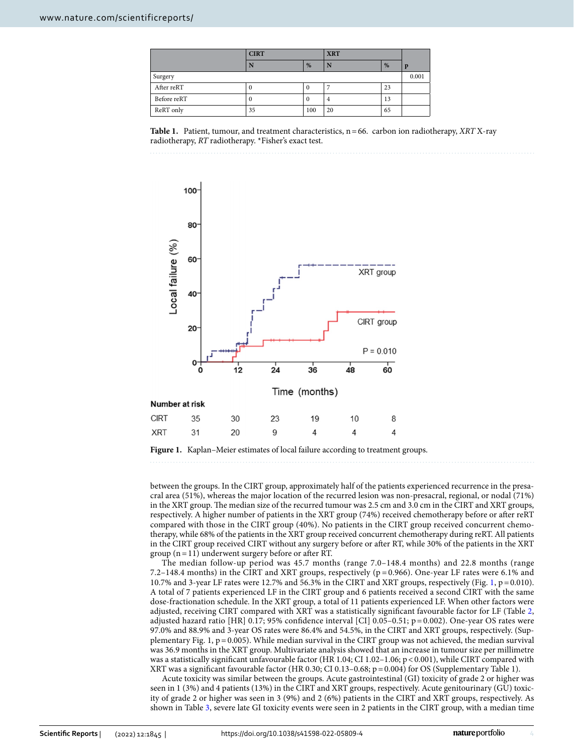|             | <b>CIRT</b> |     | <b>XRT</b> |    |             |
|-------------|-------------|-----|------------|----|-------------|
|             |             | %   |            | %  | $\mathbf n$ |
| Surgery     |             |     |            |    | 0.001       |
| After reRT  |             |     |            | 23 |             |
| Before reRT |             | v   | 4          | 13 |             |
| ReRT only   | 35          | 100 | 20         | 65 |             |

<span id="page-3-0"></span>



<span id="page-3-1"></span>**Figure 1.** Kaplan–Meier estimates of local failure according to treatment groups.

between the groups. In the CIRT group, approximately half of the patients experienced recurrence in the presacral area (51%), whereas the major location of the recurred lesion was non-presacral, regional, or nodal (71%) in the XRT group. The median size of the recurred tumour was 2.5 cm and 3.0 cm in the CIRT and XRT groups, respectively. A higher number of patients in the XRT group (74%) received chemotherapy before or afer reRT compared with those in the CIRT group (40%). No patients in the CIRT group received concurrent chemotherapy, while 68% of the patients in the XRT group received concurrent chemotherapy during reRT. All patients in the CIRT group received CIRT without any surgery before or afer RT, while 30% of the patients in the XRT group ( $n=11$ ) underwent surgery before or after RT.

The median follow-up period was 45.7 months (range 7.0–148.4 months) and 22.8 months (range 7.2–148.4 months) in the CIRT and XRT groups, respectively (p = 0.966). One-year LF rates were 6.1% and 10.7% and 3-year LF rates were 12.7% and 56.3% in the CIRT and XRT groups, respectively (Fig. [1,](#page-3-1) p=0.010). A total of 7 patients experienced LF in the CIRT group and 6 patients received a second CIRT with the same dose-fractionation schedule. In the XRT group, a total of 11 patients experienced LF. When other factors were adjusted, receiving CIRT compared with XRT was a statistically signifcant favourable factor for LF (Table [2](#page-4-0), adjusted hazard ratio [HR] 0.17; 95% confdence interval [CI] 0.05–0.51; p= 0.002). One-year OS rates were 97.0% and 88.9% and 3-year OS rates were 86.4% and 54.5%, in the CIRT and XRT groups, respectively. (Supplementary Fig. 1,  $p=0.005$ ). While median survival in the CIRT group was not achieved, the median survival was 36.9 months in the XRT group. Multivariate analysis showed that an increase in tumour size per millimetre was a statistically significant unfavourable factor (HR 1.04; CI 1.02-1.06; p <0.001), while CIRT compared with XRT was a signifcant favourable factor (HR 0.30; CI 0.13–0.68; p=0.004) for OS (Supplementary Table 1).

Acute toxicity was similar between the groups. Acute gastrointestinal (GI) toxicity of grade 2 or higher was seen in 1 (3%) and 4 patients (13%) in the CIRT and XRT groups, respectively. Acute genitourinary (GU) toxicity of grade 2 or higher was seen in 3 (9%) and 2 (6%) patients in the CIRT and XRT groups, respectively. As shown in Table [3](#page-4-1), severe late GI toxicity events were seen in 2 patients in the CIRT group, with a median time

4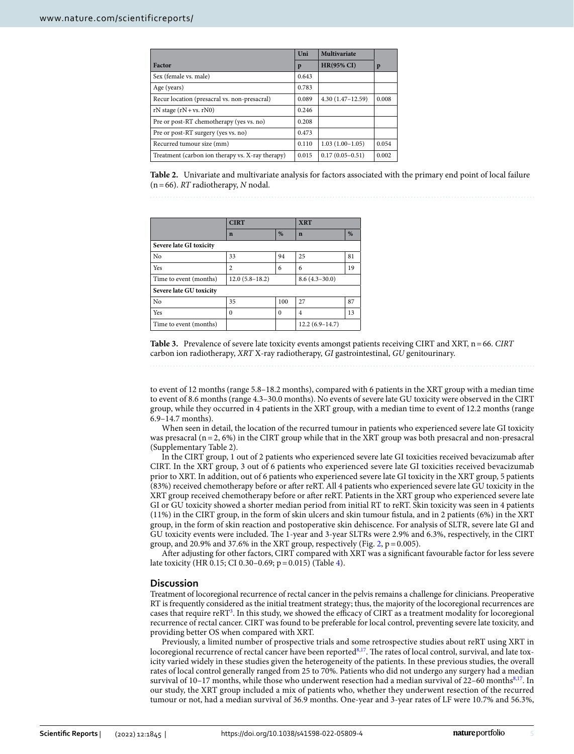|                                                  | Uni   | Multivariate        |       |
|--------------------------------------------------|-------|---------------------|-------|
| Factor                                           | p     | <b>HR(95% CI)</b>   | p     |
| Sex (female vs. male)                            | 0.643 |                     |       |
| Age (years)                                      | 0.783 |                     |       |
| Recur location (presacral vs. non-presacral)     | 0.089 | $4.30(1.47-12.59)$  | 0.008 |
| $rN$ stage $(rN + vs. rN0)$                      | 0.246 |                     |       |
| Pre or post-RT chemotherapy (yes vs. no)         | 0.208 |                     |       |
| Pre or post-RT surgery (yes vs. no)              | 0.473 |                     |       |
| Recurred tumour size (mm)                        | 0.110 | $1.03(1.00-1.05)$   | 0.054 |
| Treatment (carbon ion therapy vs. X-ray therapy) | 0.015 | $0.17(0.05 - 0.51)$ | 0.002 |

<span id="page-4-0"></span>**Table 2.** Univariate and multivariate analysis for factors associated with the primary end point of local failure (n=66). *RT* radiotherapy, *N* nodal.

|                         | <b>CIRT</b>      |          | <b>XRT</b>       |    |  |
|-------------------------|------------------|----------|------------------|----|--|
|                         | $\mathbf n$      | %        | $\mathbf n$      | %  |  |
| Severe late GI toxicity |                  |          |                  |    |  |
| No                      | 33               | 94       | 25               | 81 |  |
| <b>Yes</b>              | $\overline{c}$   | 6        | 6                | 19 |  |
| Time to event (months)  | $12.0(5.8-18.2)$ |          | $8.6(4.3-30.0)$  |    |  |
| Severe late GU toxicity |                  |          |                  |    |  |
| N <sub>o</sub>          | 35               | 100      | 27               | 87 |  |
| <b>Yes</b>              | $\Omega$         | $\Omega$ | $\overline{4}$   | 13 |  |
| Time to event (months)  |                  |          | $12.2(6.9-14.7)$ |    |  |

<span id="page-4-1"></span>**Table 3.** Prevalence of severe late toxicity events amongst patients receiving CIRT and XRT, n=66. *CIRT* carbon ion radiotherapy, *XRT* X-ray radiotherapy, *GI* gastrointestinal, *GU* genitourinary.

to event of 12 months (range 5.8–18.2 months), compared with 6 patients in the XRT group with a median time to event of 8.6 months (range 4.3–30.0 months). No events of severe late GU toxicity were observed in the CIRT group, while they occurred in 4 patients in the XRT group, with a median time to event of 12.2 months (range 6.9–14.7 months).

When seen in detail, the location of the recurred tumour in patients who experienced severe late GI toxicity was presacral (n=2, 6%) in the CIRT group while that in the XRT group was both presacral and non-presacral (Supplementary Table 2).

In the CIRT group, 1 out of 2 patients who experienced severe late GI toxicities received bevacizumab afer CIRT. In the XRT group, 3 out of 6 patients who experienced severe late GI toxicities received bevacizumab prior to XRT. In addition, out of 6 patients who experienced severe late GI toxicity in the XRT group, 5 patients (83%) received chemotherapy before or afer reRT. All 4 patients who experienced severe late GU toxicity in the XRT group received chemotherapy before or afer reRT. Patients in the XRT group who experienced severe late GI or GU toxicity showed a shorter median period from initial RT to reRT. Skin toxicity was seen in 4 patients (11%) in the CIRT group, in the form of skin ulcers and skin tumour fstula, and in 2 patients (6%) in the XRT group, in the form of skin reaction and postoperative skin dehiscence. For analysis of SLTR, severe late GI and GU toxicity events were included. The 1-year and 3-year SLTRs were 2.9% and 6.3%, respectively, in the CIRT group, and [2](#page-5-0)0.9% and 37.6% in the XRT group, respectively (Fig.  $2$ ,  $p = 0.005$ ).

Afer adjusting for other factors, CIRT compared with XRT was a signifcant favourable factor for less severe late toxicity (HR 0.15; CI 0.30–0.69; p=0.015) (Table [4\)](#page-5-1).

#### **Discussion**

Treatment of locoregional recurrence of rectal cancer in the pelvis remains a challenge for clinicians. Preoperative RT is frequently considered as the initial treatment strategy; thus, the majority of the locoregional recurrences are cases that require reRT<sup>[3](#page-6-2)</sup>. In this study, we showed the efficacy of CIRT as a treatment modality for locoregional recurrence of rectal cancer. CIRT was found to be preferable for local control, preventing severe late toxicity, and providing better OS when compared with XRT.

Previously, a limited number of prospective trials and some retrospective studies about reRT using XRT in locoregional recurrence of rectal cancer have been reported<sup>[8,](#page-6-7)17</sup>. The rates of local control, survival, and late toxicity varied widely in these studies given the heterogeneity of the patients. In these previous studies, the overall rates of local control generally ranged from 25 to 70%. Patients who did not undergo any surgery had a median survival of  $10-17$  $10-17$  months, while those who underwent resection had a median survival of  $22-60$  months<sup>8,17</sup>. In our study, the XRT group included a mix of patients who, whether they underwent resection of the recurred tumour or not, had a median survival of 36.9 months. One-year and 3-year rates of LF were 10.7% and 56.3%,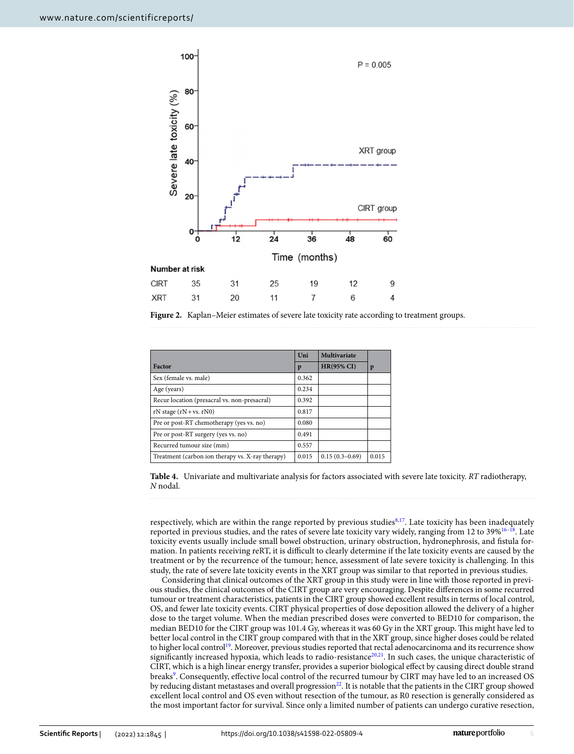

<span id="page-5-0"></span>

|                                                  | Uni   | Multivariate      |       |
|--------------------------------------------------|-------|-------------------|-------|
| Factor                                           | p     | <b>HR(95% CI)</b> | p     |
| Sex (female vs. male)                            | 0.362 |                   |       |
| Age (years)                                      | 0.234 |                   |       |
| Recur location (presacral vs. non-presacral)     | 0.392 |                   |       |
| $rN$ stage $(rN + vs. rN0)$                      | 0.817 |                   |       |
| Pre or post-RT chemotherapy (yes vs. no)         | 0.080 |                   |       |
| Pre or post-RT surgery (yes vs. no)              | 0.491 |                   |       |
| Recurred tumour size (mm)                        | 0.557 |                   |       |
| Treatment (carbon ion therapy vs. X-ray therapy) | 0.015 | $0.15(0.3-0.69)$  | 0.015 |

<span id="page-5-1"></span>**Table 4.** Univariate and multivariate analysis for factors associated with severe late toxicity. *RT* radiotherapy, *N* nodal.

respectively, which are within the range reported by previous studies<sup>[8](#page-6-7)[,17](#page-6-14)</sup>. Late toxicity has been inadequately reported in previous studies, and the rates of severe late toxicity vary widely, ranging from 12 to  $39\%^{16-18}$ . Late toxicity events usually include small bowel obstruction, urinary obstruction, hydronephrosis, and fstula formation. In patients receiving reRT, it is difficult to clearly determine if the late toxicity events are caused by the treatment or by the recurrence of the tumour; hence, assessment of late severe toxicity is challenging. In this study, the rate of severe late toxicity events in the XRT group was similar to that reported in previous studies.

Considering that clinical outcomes of the XRT group in this study were in line with those reported in previous studies, the clinical outcomes of the CIRT group are very encouraging. Despite diferences in some recurred tumour or treatment characteristics, patients in the CIRT group showed excellent results in terms of local control, OS, and fewer late toxicity events. CIRT physical properties of dose deposition allowed the delivery of a higher dose to the target volume. When the median prescribed doses were converted to BED10 for comparison, the median BED10 for the CIRT group was 101.4 Gy, whereas it was 60 Gy in the XRT group. This might have led to better local control in the CIRT group compared with that in the XRT group, since higher doses could be related to higher local control<sup>[19](#page-6-16)</sup>. Moreover, previous studies reported that rectal adenocarcinoma and its recurrence show significantly increased hypoxia, which leads to radio-resistance $20,21$ . In such cases, the unique characteristic of CIRT, which is a high linear energy transfer, provides a superior biological efect by causing direct double strand breaks<sup>9</sup>. Consequently, effective local control of the recurred tumour by CIRT may have led to an increased OS by reducing distant metastases and overall progression<sup>[22](#page-6-19)</sup>. It is notable that the patients in the CIRT group showed excellent local control and OS even without resection of the tumour, as R0 resection is generally considered as the most important factor for survival. Since only a limited number of patients can undergo curative resection,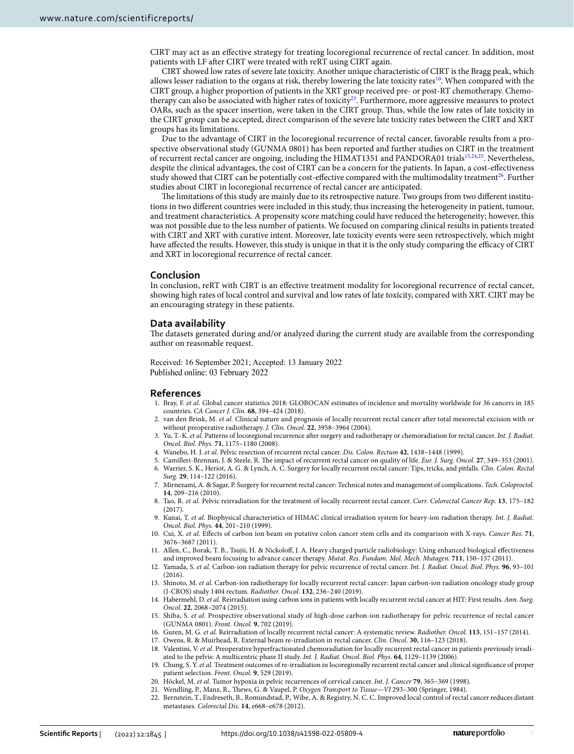CIRT may act as an efective strategy for treating locoregional recurrence of rectal cancer. In addition, most patients with LF afer CIRT were treated with reRT using CIRT again.

CIRT showed low rates of severe late toxicity. Another unique characteristic of CIRT is the Bragg peak, which allows lesser radiation to the organs at risk, thereby lowering the late toxicity rates<sup>10</sup>. When compared with the CIRT group, a higher proportion of patients in the XRT group received pre- or post-RT chemotherapy. Chemotherapy can also be associated with higher rates of toxicity<sup>23</sup>. Furthermore, more aggressive measures to protect OARs, such as the spacer insertion, were taken in the CIRT group. Tus, while the low rates of late toxicity in the CIRT group can be accepted, direct comparison of the severe late toxicity rates between the CIRT and XRT groups has its limitations.

Due to the advantage of CIRT in the locoregional recurrence of rectal cancer, favorable results from a prospective observational study (GUNMA 0801) has been reported and further studies on CIRT in the treatment of recurrent rectal cancer are ongoing, including the HIMAT1351 and PANDORA01 trials<sup>15,[24,](#page-7-1)25</sup>. Nevertheless, despite the clinical advantages, the cost of CIRT can be a concern for the patients. In Japan, a cost-efectiveness study showed that CIRT can be potentially cost-effective compared with the multimodality treatment<sup>26</sup>. Further studies about CIRT in locoregional recurrence of rectal cancer are anticipated.

The limitations of this study are mainly due to its retrospective nature. Two groups from two different institutions in two diferent countries were included in this study, thus increasing the heterogeneity in patient, tumour, and treatment characteristics. A propensity score matching could have reduced the heterogeneity; however, this was not possible due to the less number of patients. We focused on comparing clinical results in patients treated with CIRT and XRT with curative intent. Moreover, late toxicity events were seen retrospectively, which might have affected the results. However, this study is unique in that it is the only study comparing the efficacy of CIRT and XRT in locoregional recurrence of rectal cancer.

### **Conclusion**

In conclusion, reRT with CIRT is an efective treatment modality for locoregional recurrence of rectal cancer, showing high rates of local control and survival and low rates of late toxicity, compared with XRT. CIRT may be an encouraging strategy in these patients.

#### **Data availability**

The datasets generated during and/or analyzed during the current study are available from the corresponding author on reasonable request.

Received: 16 September 2021; Accepted: 13 January 2022 Published online: 03 February 2022

#### **References**

- <span id="page-6-0"></span>1. Bray, F. *et al.* Global cancer statistics 2018: GLOBOCAN estimates of incidence and mortality worldwide for 36 cancers in 185 countries. *CA Cancer J. Clin.* **68**, 394–424 (2018).
- <span id="page-6-1"></span>2. van den Brink, M. *et al.* Clinical nature and prognosis of locally recurrent rectal cancer afer total mesorectal excision with or without preoperative radiotherapy. *J. Clin. Oncol.* **22**, 3958–3964 (2004).
- <span id="page-6-2"></span>3. Yu, T.-K. *et al.* Patterns of locoregional recurrence afer surgery and radiotherapy or chemoradiation for rectal cancer. *Int. J. Radiat. Oncol. Biol. Phys.* **71**, 1175–1180 (2008).
- <span id="page-6-3"></span>4. Wanebo, H. J. *et al.* Pelvic resection of recurrent rectal cancer. *Dis. Colon. Rectum* **42**, 1438–1448 (1999).
- <span id="page-6-5"></span><span id="page-6-4"></span>5. Camilleri-Brennan, J. & Steele, R. Te impact of recurrent rectal cancer on quality of life. *Eur. J. Surg. Oncol.* **27**, 349–353 (2001). 6. Warrier, S. K., Heriot, A. G. & Lynch, A. C. Surgery for locally recurrent rectal cancer: Tips, tricks, and pitfalls. *Clin. Colon. Rectal Surg.* **29**, 114–122 (2016).
- <span id="page-6-6"></span>7. Mirnezami, A. & Sagar, P. Surgery for recurrent rectal cancer: Technical notes and management of complications. *Tech. Coloproctol.* **14**, 209–216 (2010).
- <span id="page-6-7"></span>8. Tao, R. *et al.* Pelvic reirradiation for the treatment of locally recurrent rectal cancer. *Curr. Colorectal Cancer Rep.* **13**, 175–182 (2017).
- <span id="page-6-8"></span>9. Kanai, T. *et al.* Biophysical characteristics of HIMAC clinical irradiation system for heavy-ion radiation therapy. *Int. J. Radiat. Oncol. Biol. Phys.* **44**, 201–210 (1999).
- <span id="page-6-9"></span>10. Cui, X. *et al.* Efects of carbon ion beam on putative colon cancer stem cells and its comparison with X-rays. *Cancer Res.* **71**, 3676–3687 (2011).
- <span id="page-6-10"></span>11. Allen, C., Borak, T. B., Tsujii, H. & Nickolof, J. A. Heavy charged particle radiobiology: Using enhanced biological efectiveness and improved beam focusing to advance cancer therapy. *Mutat. Res. Fundam. Mol. Mech. Mutagen.* **711**, 150–157 (2011).
- <span id="page-6-11"></span>12. Yamada, S. *et al.* Carbon-ion radiation therapy for pelvic recurrence of rectal cancer. *Int. J. Radiat. Oncol. Biol. Phys.* **96**, 93–101 (2016).
- 13. Shinoto, M. *et al.* Carbon-ion radiotherapy for locally recurrent rectal cancer: Japan carbon-ion radiation oncology study group (J-CROS) study 1404 rectum. *Radiother. Oncol.* **132**, 236–240 (2019).
- 14. Habermehl, D. *et al.* Reirradiation using carbon ions in patients with locally recurrent rectal cancer at HIT: First results. *Ann. Surg. Oncol.* **22**, 2068–2074 (2015).
- <span id="page-6-12"></span>15. Shiba, S. *et al.* Prospective observational study of high-dose carbon-ion radiotherapy for pelvic recurrence of rectal cancer (GUNMA 0801). *Front. Oncol.* **9**, 702 (2019).
- <span id="page-6-13"></span>16. Guren, M. G. *et al.* Reirradiation of locally recurrent rectal cancer: A systematic review. *Radiother. Oncol.* **113**, 151–157 (2014).
- <span id="page-6-14"></span>17. Owens, R. & Muirhead, R. External beam re-irradiation in rectal cancer. *Clin. Oncol.* **30**, 116–123 (2018).
- <span id="page-6-15"></span>18. Valentini, V. *et al.* Preoperative hyperfractionated chemoradiation for locally recurrent rectal cancer in patients previously irradiated to the pelvis: A multicentric phase II study. *Int. J. Radiat. Oncol. Biol. Phys.* **64**, 1129–1139 (2006).
- <span id="page-6-16"></span>19. Chung, S. Y. *et al.* Treatment outcomes of re-irradiation in locoregionally recurrent rectal cancer and clinical signifcance of proper patient selection. *Front. Oncol.* **9**, 529 (2019).
- <span id="page-6-17"></span>20. Höckel, M. *et al.* Tumor hypoxia in pelvic recurrences of cervical cancer. *Int. J. Cancer* **79**, 365–369 (1998).
- <span id="page-6-18"></span>21. Wendling, P., Manz, R., Tews, G. & Vaupel, P. *Oxygen Transport to Tissue—VI* 293–300 (Springer, 1984).
- <span id="page-6-19"></span>22. Bernstein, T., Endreseth, B., Romundstad, P., Wibe, A. & Registry, N. C. C. Improved local control of rectal cancer reduces distant metastases. *Colorectal Dis.* **14**, e668–e678 (2012).

7